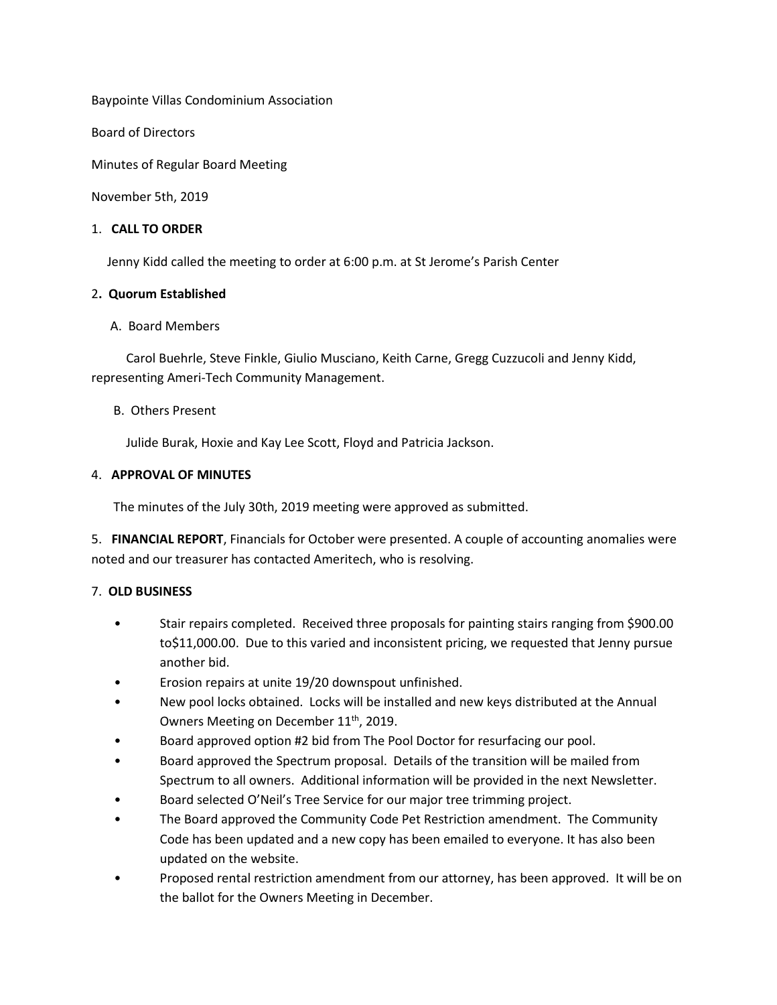Baypointe Villas Condominium Association

Board of Directors

Minutes of Regular Board Meeting

November 5th, 2019

# 1. **CALL TO ORDER**

Jenny Kidd called the meeting to order at 6:00 p.m. at St Jerome's Parish Center

## 2**. Quorum Established**

## A. Board Members

 Carol Buehrle, Steve Finkle, Giulio Musciano, Keith Carne, Gregg Cuzzucoli and Jenny Kidd, representing Ameri-Tech Community Management.

## B. Others Present

Julide Burak, Hoxie and Kay Lee Scott, Floyd and Patricia Jackson.

## 4. **APPROVAL OF MINUTES**

The minutes of the July 30th, 2019 meeting were approved as submitted.

5. **FINANCIAL REPORT**, Financials for October were presented. A couple of accounting anomalies were noted and our treasurer has contacted Ameritech, who is resolving.

# 7. **OLD BUSINESS**

- Stair repairs completed. Received three proposals for painting stairs ranging from \$900.00 to\$11,000.00. Due to this varied and inconsistent pricing, we requested that Jenny pursue another bid.
- Erosion repairs at unite 19/20 downspout unfinished.
- New pool locks obtained. Locks will be installed and new keys distributed at the Annual Owners Meeting on December 11<sup>th</sup>, 2019.
- Board approved option #2 bid from The Pool Doctor for resurfacing our pool.
- Board approved the Spectrum proposal. Details of the transition will be mailed from Spectrum to all owners. Additional information will be provided in the next Newsletter.
- Board selected O'Neil's Tree Service for our major tree trimming project.
- The Board approved the Community Code Pet Restriction amendment. The Community Code has been updated and a new copy has been emailed to everyone. It has also been updated on the website.
- Proposed rental restriction amendment from our attorney, has been approved. It will be on the ballot for the Owners Meeting in December.